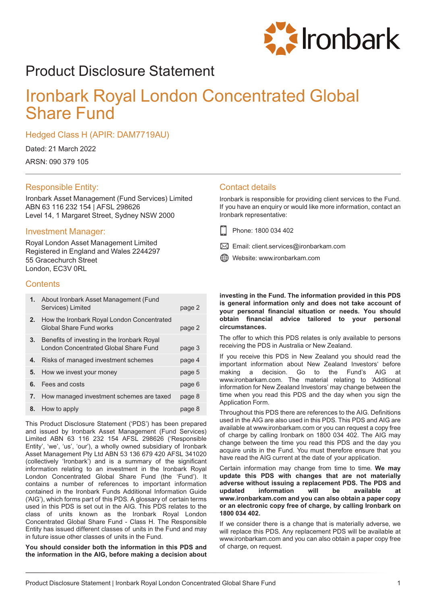

# Product Disclosure Statement

# Ironbark Royal London Concentrated Global Share Fund

Hedged Class H (APIR: DAM7719AU)

Dated: 21 March 2022

ARSN: 090 379 105

## Responsible Entity:

Ironbark Asset Management (Fund Services) Limited ABN 63 116 232 154 | AFSL 298626 Level 14, 1 Margaret Street, Sydney NSW 2000

## Investment Manager:

Royal London Asset Management Limited Registered in England and Wales 2244297 55 Gracechurch Street London, EC3V 0RL

## **Contents**

|    | 1. About Ironbark Asset Management (Fund<br>Services) Limited                        | page 2 |
|----|--------------------------------------------------------------------------------------|--------|
| 2. | How the Ironbark Royal London Concentrated<br>Global Share Fund works                | page 2 |
| 3. | Benefits of investing in the Ironbark Royal<br>London Concentrated Global Share Fund | page 3 |
| 4. | Risks of managed investment schemes                                                  | page 4 |
| 5. | How we invest your money                                                             | page 5 |
| 6. | Fees and costs                                                                       | page 6 |
| 7. | How managed investment schemes are taxed                                             | page 8 |
| 8. | How to apply                                                                         | page 8 |

This Product Disclosure Statement ('PDS') has been prepared and issued by Ironbark Asset Management (Fund Services) Limited ABN 63 116 232 154 AFSL 298626 ('Responsible Entity', 'we', 'us', 'our'), a wholly owned subsidiary of Ironbark Asset Management Pty Ltd ABN 53 136 679 420 AFSL 341020 (collectively 'Ironbark') and is a summary of the significant information relating to an investment in the Ironbark Royal London Concentrated Global Share Fund (the 'Fund'). It contains a number of references to important information contained in the Ironbark Funds Additional Information Guide ('AIG'), which forms part of this PDS. A glossary of certain terms used in this PDS is set out in the AIG. This PDS relates to the class of units known as the Ironbark Royal London Concentrated Global Share Fund - Class H. The Responsible Entity has issued different classes of units in the Fund and may in future issue other classes of units in the Fund.

**You should consider both the information in this PDS and the information in the AIG, before making a decision about**

## Contact details

Ironbark is responsible for providing client services to the Fund. If you have an enquiry or would like more information, contact an Ironbark representative:

- Phone: 1800 034 402
- $\boxtimes$  Email: client.services@ironbarkam.com
- Website: www.ironbarkam.com

**investing in the Fund. The information provided in this PDS is general information only and does not take account of your personal financial situation or needs. You should obtain financial advice tailored to your personal circumstances.**

The offer to which this PDS relates is only available to persons receiving the PDS in Australia or New Zealand.

If you receive this PDS in New Zealand you should read the important information about New Zealand Investors' before making a decision. Go to the Fund's AIG at www.ironbarkam.com. The material relating to 'Additional information for New Zealand Investors' may change between the time when you read this PDS and the day when you sign the Application Form.

Throughout this PDS there are references to the AIG. Definitions used in the AIG are also used in this PDS. This PDS and AIG are available at www.ironbarkam.com or you can request a copy free of charge by calling Ironbark on 1800 034 402. The AIG may change between the time you read this PDS and the day you acquire units in the Fund. You must therefore ensure that you have read the AIG current at the date of your application.

Certain information may change from time to time. **We may update this PDS with changes that are not materially adverse without issuing a replacement PDS. The PDS and information www.ironbarkam.com and you can also obtain a paper copy or an electronic copy free of charge, by calling Ironbark on 1800 034 402.**

If we consider there is a change that is materially adverse, we will replace this PDS. Any replacement PDS will be available at www.ironbarkam.com and you can also obtain a paper copy free of charge, on request.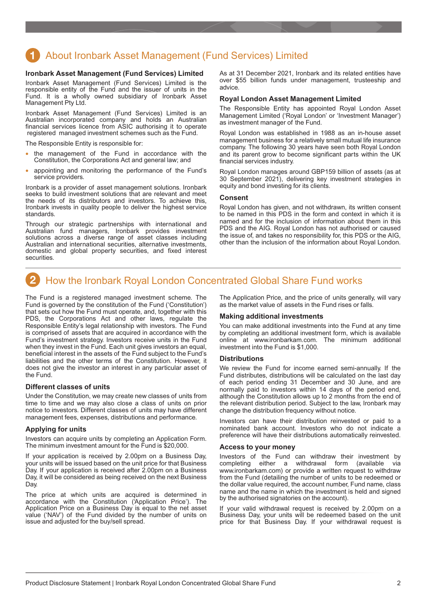## <span id="page-1-0"></span>About Ironbark Asset Management (Fund Services) Limited

### **Ironbark Asset Management (Fund Services) Limited**

Ironbark Asset Management (Fund Services) Limited is the responsible entity of the Fund and the issuer of units in the Fund. It is a wholly owned subsidiary of Ironbark Asset Management Pty Ltd.

Ironbark Asset Management (Fund Services) Limited is an Australian incorporated company and holds an Australian financial services licence from ASIC authorising it to operate registered managed investment schemes such as the Fund.

The Responsible Entity is responsible for:

- the management of the Fund in accordance with the Constitution, the Corporations Act and general law; and
- appointing and monitoring the performance of the Fund's service providers.

Ironbark is a provider of asset management solutions. Ironbark seeks to build investment solutions that are relevant and meet the needs of its distributors and investors. To achieve this, Ironbark invests in quality people to deliver the highest service standards.

Through our strategic partnerships with international and Australian fund managers, Ironbark provides investment solutions across a diverse range of asset classes including Australian and international securities, alternative investments, domestic and global property securities, and fixed interest securities.

As at 31 December 2021, Ironbark and its related entities have over \$55 billion funds under management, trusteeship and advice.

#### **Royal London Asset Management Limited**

The Responsible Entity has appointed Royal London Asset Management Limited ('Royal London' or 'Investment Manager') as investment manager of the Fund.

Royal London was established in 1988 as an in-house asset management business for a relatively small mutual life insurance company. The following 30 years have seen both Royal London and its parent grow to become significant parts within the UK financial services industry.

Royal London manages around GBP159 billion of assets (as at 30 September 2021), delivering key investment strategies in equity and bond investing for its clients.

#### **Consent**

Royal London has given, and not withdrawn, its written consent to be named in this PDS in the form and context in which it is named and for the inclusion of information about them in this PDS and the AIG. Royal London has not authorised or caused the issue of, and takes no responsibility for, this PDS or the AIG, other than the inclusion of the information about Royal London.

## How the Ironbark Royal London Concentrated Global Share Fund works

The Fund is a registered managed investment scheme. The Fund is governed by the constitution of the Fund ('Constitution') that sets out how the Fund must operate, and, together with this PDS, the Corporations Act and other laws, regulate the Responsible Entity's legal relationship with investors. The Fund is comprised of assets that are acquired in accordance with the Fund's investment strategy. Investors receive units in the Fund when they invest in the Fund. Each unit gives investors an equal, beneficial interest in the assets of the Fund subject to the Fund's liabilities and the other terms of the Constitution. However, it does not give the investor an interest in any particular asset of the Fund.

#### **Different classes of units**

Under the Constitution, we may create new classes of units from time to time and we may also close a class of units on prior notice to investors. Different classes of units may have different management fees, expenses, distributions and performance.

### **Applying for units**

Investors can acquire units by completing an Application Form. The minimum investment amount for the Fund is \$20,000.

If your application is received by 2.00pm on a Business Day, your units will be issued based on the unit price for that Business Day. If your application is received after 2.00pm on a Business Day, it will be considered as being received on the next Business Day.

The price at which units are acquired is determined in accordance with the Constitution ('Application Price'). The Application Price on a Business Day is equal to the net asset value ('NAV') of the Fund divided by the number of units on issue and adjusted for the buy/sell spread.

The Application Price, and the price of units generally, will vary as the market value of assets in the Fund rises or falls.

#### **Making additional investments**

You can make additional investments into the Fund at any time by completing an additional investment form, which is available online at www.ironbarkam.com. The minimum additional investment into the Fund is \$1,000.

### **Distributions**

We review the Fund for income earned semi-annually. If the Fund distributes, distributions will be calculated on the last day of each period ending 31 December and 30 June, and are normally paid to investors within 14 days of the period end, although the Constitution allows up to 2 months from the end of the relevant distribution period. Subject to the law, Ironbark may change the distribution frequency without notice.

Investors can have their distribution reinvested or paid to a nominated bank account. Investors who do not indicate a preference will have their distributions automatically reinvested.

#### **Access to your money**

Investors of the Fund can withdraw their investment by completing either a withdrawal form (available via completing either a withdrawal form (available via www.ironbarkam.com) or provide a written request to withdraw from the Fund (detailing the number of units to be redeemed or the dollar value required, the account number, Fund name, class name and the name in which the investment is held and signed by the authorised signatories on the account).

If your valid withdrawal request is received by 2.00pm on a Business Day, your units will be redeemed based on the unit price for that Business Day. If your withdrawal request is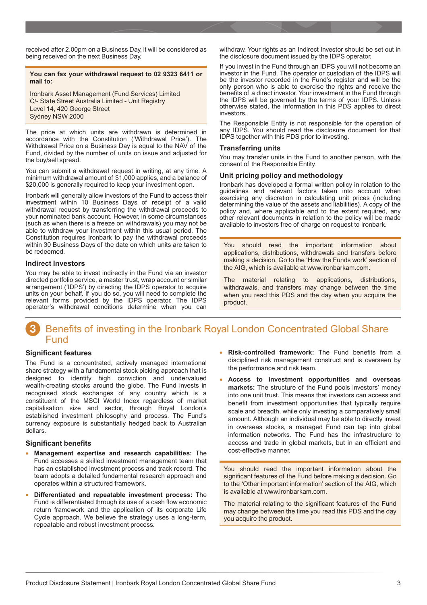<span id="page-2-0"></span>received after 2.00pm on a Business Day, it will be considered as being received on the next Business Day.

## **You can fax your withdrawal request to 02 9323 6411 or mail to:**

Ironbark Asset Management (Fund Services) Limited C/- State Street Australia Limited - Unit Registry Level 14, 420 George Street Sydney NSW 2000

The price at which units are withdrawn is determined in accordance with the Constitution ('Withdrawal Price'). The Withdrawal Price on a Business Day is equal to the NAV of the Fund, divided by the number of units on issue and adjusted for the buy/sell spread.

You can submit a withdrawal request in writing, at any time. A minimum withdrawal amount of \$1,000 applies, and a balance of \$20,000 is generally required to keep your investment open.

Ironbark will generally allow investors of the Fund to access their investment within 10 Business Days of receipt of a valid withdrawal request by transferring the withdrawal proceeds to your nominated bank account. However, in some circumstances (such as when there is a freeze on withdrawals) you may not be able to withdraw your investment within this usual period. The Constitution requires Ironbark to pay the withdrawal proceeds within 30 Business Days of the date on which units are taken to be redeemed.

## **Indirect Investors**

You may be able to invest indirectly in the Fund via an investor directed portfolio service, a master trust, wrap account or similar arrangement ('IDPS') by directing the IDPS operator to acquire units on your behalf. If you do so, you will need to complete the relevant forms provided by the IDPS operator. The IDPS operator's withdrawal conditions determine when you can

withdraw. Your rights as an Indirect Investor should be set out in the disclosure document issued by the IDPS operator.

If you invest in the Fund through an IDPS you will not become an investor in the Fund. The operator or custodian of the IDPS will be the investor recorded in the Fund's register and will be the only person who is able to exercise the rights and receive the benefits of a direct investor. Your investment in the Fund through the IDPS will be governed by the terms of your IDPS. Unless otherwise stated, the information in this PDS applies to direct investors.

The Responsible Entity is not responsible for the operation of any IDPS. You should read the disclosure document for that IDPS together with this PDS prior to investing.

## **Transferring units**

You may transfer units in the Fund to another person, with the consent of the Responsible Entity.

## **Unit pricing policy and methodology**

Ironbark has developed a formal written policy in relation to the guidelines and relevant factors taken into account when exercising any discretion in calculating unit prices (including determining the value of the assets and liabilities). A copy of the policy and, where applicable and to the extent required, any other relevant documents in relation to the policy will be made available to investors free of charge on request to Ironbark.

You should read the important information about applications, distributions, withdrawals and transfers before making a decision. Go to the 'How the Funds work' section of the AIG, which is available at www.ironbarkam.com.

The material relating to applications, distributions, withdrawals, and transfers may change between the time when you read this PDS and the day when you acquire the product.

## Benefits of investing in the Ironbark Royal London Concentrated Global Share Fund

## **Significant features**

The Fund is a concentrated, actively managed international share strategy with a fundamental stock picking approach that is designed to identify high conviction and undervalued wealth-creating stocks around the globe. The Fund invests in recognised stock exchanges of any country which is a constituent of the MSCI World Index regardless of market capitalisation size and sector, through Royal London's established investment philosophy and process. The Fund's currency exposure is substantially hedged back to Australian dollars.

## **Significant benefits**

- **Management expertise and research capabilities:** The Fund accesses a skilled investment management team that has an established investment process and track record. The team adopts a detailed fundamental research approach and operates within a structured framework.
- **Differentiated and repeatable investment process:** The Fund is differentiated through its use of a cash flow economic return framework and the application of its corporate Life Cycle approach. We believe the strategy uses a long-term, repeatable and robust investment process.
- **Risk-controlled framework:** The Fund benefits from a disciplined risk management construct and is overseen by the performance and risk team.
- **Access to investment opportunities and overseas markets:** The structure of the Fund pools investors' money into one unit trust. This means that investors can access and benefit from investment opportunities that typically require scale and breadth, while only investing a comparatively small amount. Although an individual may be able to directly invest in overseas stocks, a managed Fund can tap into global information networks. The Fund has the infrastructure to access and trade in global markets, but in an efficient and cost-effective manner.

You should read the important information about the significant features of the Fund before making a decision. Go to the 'Other important information' section of the AIG, which is available at www.ironbarkam.com.

The material relating to the significant features of the Fund may change between the time you read this PDS and the day you acquire the product.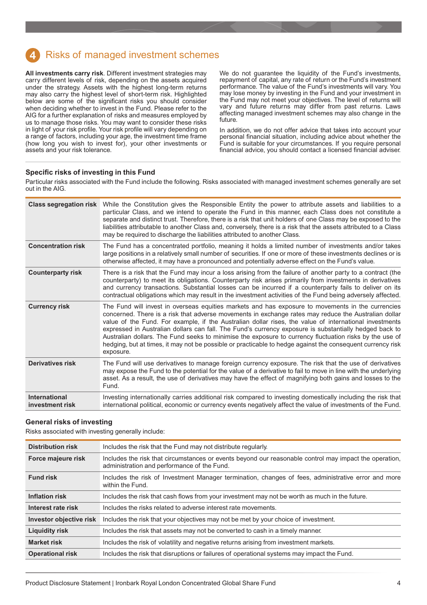## <span id="page-3-0"></span>Risks of managed investment schemes

**All investments carry risk**. Different investment strategies may carry different levels of risk, depending on the assets acquired under the strategy. Assets with the highest long-term returns may also carry the highest level of short-term risk. Highlighted below are some of the significant risks you should consider when deciding whether to invest in the Fund. Please refer to the AIG for a further explanation of risks and measures employed by us to manage those risks. You may want to consider these risks in light of your risk profile. Your risk profile will vary depending on a range of factors, including your age, the investment time frame (how long you wish to invest for), your other investments or assets and your risk tolerance.

We do not guarantee the liquidity of the Fund's investments, repayment of capital, any rate of return or the Fund's investment performance. The value of the Fund's investments will vary. You may lose money by investing in the Fund and your investment in the Fund may not meet your objectives. The level of returns will vary and future returns may differ from past returns. Laws affecting managed investment schemes may also change in the future.

In addition, we do not offer advice that takes into account your personal financial situation, including advice about whether the Fund is suitable for your circumstances. If you require personal financial advice, you should contact a licensed financial adviser.

## **Specific risks of investing in this Fund**

Particular risks associated with the Fund include the following. Risks associated with managed investment schemes generally are set out in the AIG.

| <b>Class segregation risk</b>           | While the Constitution gives the Responsible Entity the power to attribute assets and liabilities to a<br>particular Class, and we intend to operate the Fund in this manner, each Class does not constitute a<br>separate and distinct trust. Therefore, there is a risk that unit holders of one Class may be exposed to the<br>liabilities attributable to another Class and, conversely, there is a risk that the assets attributed to a Class<br>may be required to discharge the liabilities attributed to another Class.                                                                                                                                     |
|-----------------------------------------|---------------------------------------------------------------------------------------------------------------------------------------------------------------------------------------------------------------------------------------------------------------------------------------------------------------------------------------------------------------------------------------------------------------------------------------------------------------------------------------------------------------------------------------------------------------------------------------------------------------------------------------------------------------------|
| <b>Concentration risk</b>               | The Fund has a concentrated portfolio, meaning it holds a limited number of investments and/or takes<br>large positions in a relatively small number of securities. If one or more of these investments declines or is<br>otherwise affected, it may have a pronounced and potentially adverse effect on the Fund's value.                                                                                                                                                                                                                                                                                                                                          |
| <b>Counterparty risk</b>                | There is a risk that the Fund may incur a loss arising from the failure of another party to a contract (the<br>counterparty) to meet its obligations. Counterparty risk arises primarily from investments in derivatives<br>and currency transactions. Substantial losses can be incurred if a counterparty fails to deliver on its<br>contractual obligations which may result in the investment activities of the Fund being adversely affected.                                                                                                                                                                                                                  |
| <b>Currency risk</b>                    | The Fund will invest in overseas equities markets and has exposure to movements in the currencies<br>concerned. There is a risk that adverse movements in exchange rates may reduce the Australian dollar<br>value of the Fund. For example, if the Australian dollar rises, the value of international investments<br>expressed in Australian dollars can fall. The Fund's currency exposure is substantially hedged back to<br>Australian dollars. The Fund seeks to minimise the exposure to currency fluctuation risks by the use of<br>hedging, but at times, it may not be possible or practicable to hedge against the consequent currency risk<br>exposure. |
| <b>Derivatives risk</b>                 | The Fund will use derivatives to manage foreign currency exposure. The risk that the use of derivatives<br>may expose the Fund to the potential for the value of a derivative to fail to move in line with the underlying<br>asset. As a result, the use of derivatives may have the effect of magnifying both gains and losses to the<br>Fund.                                                                                                                                                                                                                                                                                                                     |
| <b>International</b><br>investment risk | Investing internationally carries additional risk compared to investing domestically including the risk that<br>international political, economic or currency events negatively affect the value of investments of the Fund.                                                                                                                                                                                                                                                                                                                                                                                                                                        |

## **General risks of investing**

Risks associated with investing generally include:

| <b>Distribution risk</b>       | Includes the risk that the Fund may not distribute regularly.                                                                                         |
|--------------------------------|-------------------------------------------------------------------------------------------------------------------------------------------------------|
| Force majeure risk             | Includes the risk that circumstances or events beyond our reasonable control may impact the operation,<br>administration and performance of the Fund. |
| <b>Fund risk</b>               | Includes the risk of Investment Manager termination, changes of fees, administrative error and more<br>within the Fund.                               |
| <b>Inflation risk</b>          | Includes the risk that cash flows from your investment may not be worth as much in the future.                                                        |
| Interest rate risk             | Includes the risks related to adverse interest rate movements.                                                                                        |
| <b>Investor objective risk</b> | Includes the risk that your objectives may not be met by your choice of investment.                                                                   |
| <b>Liquidity risk</b>          | Includes the risk that assets may not be converted to cash in a timely manner.                                                                        |
| <b>Market risk</b>             | Includes the risk of volatility and negative returns arising from investment markets.                                                                 |
| <b>Operational risk</b>        | Includes the risk that disruptions or failures of operational systems may impact the Fund.                                                            |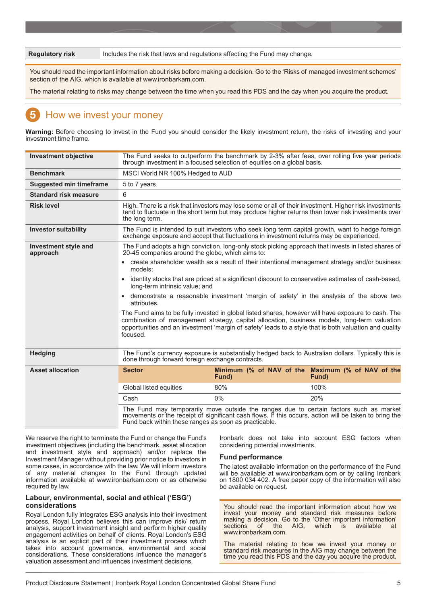<span id="page-4-0"></span>**Regulatory risk** Includes the risk that laws and regulations affecting the Fund may change.

You should read the important information about risks before making a decision. Go to the 'Risks of managed investment schemes' section of the AIG, which is available at www.ironbarkam.com.

The material relating to risks may change between the time when you read this PDS and the day when you acquire the product.

## How we invest your money

**Warning:** Before choosing to invest in the Fund you should consider the likely investment return, the risks of investing and your investment time frame.

| <b>Investment objective</b>                                                                                                                                                                                                | The Fund seeks to outperform the benchmark by 2-3% after fees, over rolling five year periods<br>through investment in a focused selection of equities on a global basis.                                                                                                                                                 |                                                                                                                                                                                                               |                                                            |
|----------------------------------------------------------------------------------------------------------------------------------------------------------------------------------------------------------------------------|---------------------------------------------------------------------------------------------------------------------------------------------------------------------------------------------------------------------------------------------------------------------------------------------------------------------------|---------------------------------------------------------------------------------------------------------------------------------------------------------------------------------------------------------------|------------------------------------------------------------|
| <b>Benchmark</b>                                                                                                                                                                                                           | MSCI World NR 100% Hedged to AUD                                                                                                                                                                                                                                                                                          |                                                                                                                                                                                                               |                                                            |
| <b>Suggested min timeframe</b>                                                                                                                                                                                             | 5 to 7 years                                                                                                                                                                                                                                                                                                              |                                                                                                                                                                                                               |                                                            |
| <b>Standard risk measure</b>                                                                                                                                                                                               | 6                                                                                                                                                                                                                                                                                                                         |                                                                                                                                                                                                               |                                                            |
| <b>Risk level</b>                                                                                                                                                                                                          | the long term.                                                                                                                                                                                                                                                                                                            | High. There is a risk that investors may lose some or all of their investment. Higher risk investments<br>tend to fluctuate in the short term but may produce higher returns than lower risk investments over |                                                            |
| The Fund is intended to suit investors who seek long term capital growth, want to hedge foreign<br><b>Investor suitability</b><br>exchange exposure and accept that fluctuations in investment returns may be experienced. |                                                                                                                                                                                                                                                                                                                           |                                                                                                                                                                                                               |                                                            |
| <b>Investment style and</b><br>approach                                                                                                                                                                                    | The Fund adopts a high conviction, long-only stock picking approach that invests in listed shares of<br>20-45 companies around the globe, which aims to:                                                                                                                                                                  |                                                                                                                                                                                                               |                                                            |
|                                                                                                                                                                                                                            | models;                                                                                                                                                                                                                                                                                                                   | • create shareholder wealth as a result of their intentional management strategy and/or business                                                                                                              |                                                            |
|                                                                                                                                                                                                                            | • identity stocks that are priced at a significant discount to conservative estimates of cash-based,<br>long-term intrinsic value: and                                                                                                                                                                                    |                                                                                                                                                                                                               |                                                            |
|                                                                                                                                                                                                                            | • demonstrate a reasonable investment 'margin of safety' in the analysis of the above two<br>attributes.                                                                                                                                                                                                                  |                                                                                                                                                                                                               |                                                            |
|                                                                                                                                                                                                                            | The Fund aims to be fully invested in global listed shares, however will have exposure to cash. The<br>combination of management strategy, capital allocation, business models, long-term valuation<br>opportunities and an investment 'margin of safety' leads to a style that is both valuation and quality<br>focused. |                                                                                                                                                                                                               |                                                            |
| <b>Hedging</b>                                                                                                                                                                                                             | The Fund's currency exposure is substantially hedged back to Australian dollars. Typically this is<br>done through forward foreign exchange contracts.                                                                                                                                                                    |                                                                                                                                                                                                               |                                                            |
| <b>Asset allocation</b>                                                                                                                                                                                                    | <b>Sector</b>                                                                                                                                                                                                                                                                                                             | Fund)                                                                                                                                                                                                         | Minimum (% of NAV of the Maximum (% of NAV of the<br>Fund) |
|                                                                                                                                                                                                                            | Global listed equities                                                                                                                                                                                                                                                                                                    | 80%                                                                                                                                                                                                           | 100%                                                       |
|                                                                                                                                                                                                                            | Cash                                                                                                                                                                                                                                                                                                                      | $0\%$                                                                                                                                                                                                         | 20%                                                        |
|                                                                                                                                                                                                                            | The Fund may temporarily move outside the ranges due to certain factors such as market<br>movements or the receipt of significant cash flows. If this occurs, action will be taken to bring the<br>Fund back within these ranges as soon as practicable.                                                                  |                                                                                                                                                                                                               |                                                            |

We reserve the right to terminate the Fund or change the Fund's investment objectives (including the benchmark, asset allocation and investment style and approach) and/or replace the Investment Manager without providing prior notice to investors in some cases, in accordance with the law. We will inform investors of any material changes to the Fund through updated information available at www.ironbarkam.com or as otherwise required by law.

## **Labour, environmental, social and ethical ('ESG') considerations**

Royal London fully integrates ESG analysis into their investment process. Royal London believes this can improve risk/ return analysis, support investment insight and perform higher quality engagement activities on behalf of clients. Royal London's ESG analysis is an explicit part of their investment process which takes into account governance, environmental and social considerations. These considerations influence the manager's valuation assessment and influences investment decisions.

Ironbark does not take into account ESG factors when considering potential investments.

## **Fund performance**

The latest available information on the performance of the Fund will be available at www.ironbarkam.com or by calling Ironbark on 1800 034 402. A free paper copy of the information will also be available on request.

You should read the important information about how we invest your money and standard risk measures before making a decision. Go to the 'Other important information'<br>sections of the AIG, which is available at of the www.ironbarkam.com.

The material relating to how we invest your money or standard risk measures in the AIG may change between the time you read this PDS and the day you acquire the product.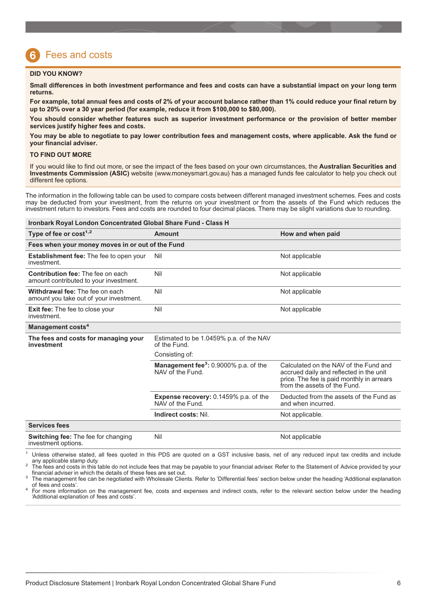## <span id="page-5-0"></span>Fees and costs

## **DID YOU KNOW?**

**Small differences in both investment performance and fees and costs can have a substantial impact on your long term returns.**

**For example, total annual fees and costs of 2% of your account balance rather than 1% could reduce your final return by up to 20% over a 30 year period (for example, reduce it from \$100,000 to \$80,000).**

**You should consider whether features such as superior investment performance or the provision of better member services justify higher fees and costs.**

**You may be able to negotiate to pay lower contribution fees and management costs, where applicable. Ask the fund or your financial adviser.**

#### **TO FIND OUT MORE**

If you would like to find out more, or see the impact of the fees based on your own circumstances, the **Australian Securities and Investments Commission (ASIC)** website (www.moneysmart.gov.au) has a managed funds fee calculator to help you check out different fee options.

The information in the following table can be used to compare costs between different managed investment schemes. Fees and costs may be deducted from your investment, from the returns on your investment or from the assets of the Fund which reduces the investment return to investors. Fees and costs are rounded to four decimal places. There may be slight variations due to rounding.

| <b>Ironbark Royal London Concentrated Global Share Fund - Class H</b>              |                                                                       |                                                                                                                                                               |  |  |  |  |
|------------------------------------------------------------------------------------|-----------------------------------------------------------------------|---------------------------------------------------------------------------------------------------------------------------------------------------------------|--|--|--|--|
| Type of fee or $cost1,2$                                                           | Amount                                                                | How and when paid                                                                                                                                             |  |  |  |  |
| Fees when your money moves in or out of the Fund                                   |                                                                       |                                                                                                                                                               |  |  |  |  |
| <b>Establishment fee:</b> The fee to open your<br>investment.                      | Nil                                                                   | Not applicable                                                                                                                                                |  |  |  |  |
| <b>Contribution fee: The fee on each</b><br>amount contributed to your investment. | Nil                                                                   | Not applicable                                                                                                                                                |  |  |  |  |
| Withdrawal fee: The fee on each<br>amount you take out of your investment.         | Nil                                                                   | Not applicable                                                                                                                                                |  |  |  |  |
| <b>Exit fee:</b> The fee to close your<br>investment.                              | Nil                                                                   | Not applicable                                                                                                                                                |  |  |  |  |
| Management costs <sup>4</sup>                                                      |                                                                       |                                                                                                                                                               |  |  |  |  |
| The fees and costs for managing your<br>investment                                 | Estimated to be 1.0459% p.a. of the NAV<br>of the Fund.               |                                                                                                                                                               |  |  |  |  |
|                                                                                    | Consisting of:                                                        |                                                                                                                                                               |  |  |  |  |
|                                                                                    | Management fee <sup>3</sup> : 0.9000% p.a. of the<br>NAV of the Fund. | Calculated on the NAV of the Fund and<br>accrued daily and reflected in the unit<br>price. The fee is paid monthly in arrears<br>from the assets of the Fund. |  |  |  |  |
|                                                                                    | <b>Expense recovery: 0.1459% p.a. of the</b><br>NAV of the Fund.      | Deducted from the assets of the Fund as<br>and when incurred.                                                                                                 |  |  |  |  |
|                                                                                    | Indirect costs: Nil.                                                  | Not applicable.                                                                                                                                               |  |  |  |  |
| <b>Services fees</b>                                                               |                                                                       |                                                                                                                                                               |  |  |  |  |
| <b>Switching fee: The fee for changing</b><br>investment options.                  | Nil                                                                   | Not applicable                                                                                                                                                |  |  |  |  |

<sup>1</sup> Unless otherwise stated, all fees quoted in this PDS are quoted on a GST inclusive basis, net of any reduced input tax credits and include any applicable stamp duty.

<sup>2</sup> The fees and costs in this table do not include fees that may be payable to your financial adviser. Refer to the Statement of Advice provided by your financial adviser in which the details of these fees are set out.

financial adviser in which the details of these fees are set out. <sup>3</sup> The management fee can be negotiated with Wholesale Clients. Refer to 'Differential fees' section below under the heading 'Additional explanation

of fees and costs'.<br><sup>4</sup> For more information on the management fee, costs and expenses and indirect costs, refer to the relevant section below under the heading 'Additional explanation of fees and costs'.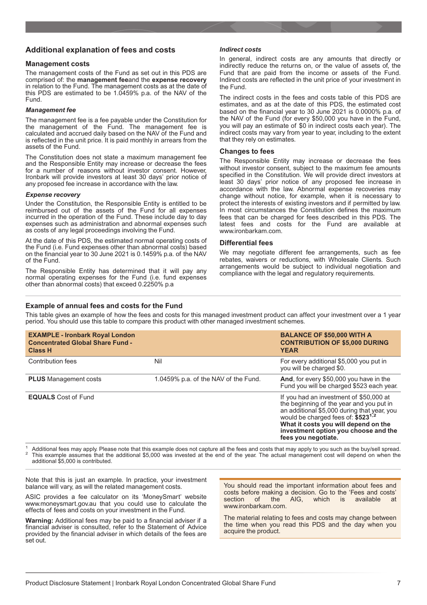## **Additional explanation of fees and costs**

## **Management costs**

The management costs of the Fund as set out in this PDS are comprised of: the **management fee**and the **expense recovery** in relation to the Fund. The management costs as at the date of this PDS are estimated to be 1.0459% p.a. of the NAV of the Fund.

### *Management fee*

The management fee is a fee payable under the Constitution for the management of the Fund. The management fee is calculated and accrued daily based on the NAV of the Fund and is reflected in the unit price. It is paid monthly in arrears from the assets of the Fund.

The Constitution does not state a maximum management fee and the Responsible Entity may increase or decrease the fees for a number of reasons without investor consent. However, Ironbark will provide investors at least 30 days' prior notice of any proposed fee increase in accordance with the law.

### *Expense recovery*

Under the Constitution, the Responsible Entity is entitled to be reimbursed out of the assets of the Fund for all expenses incurred in the operation of the Fund. These include day to day expenses such as administration and abnormal expenses such as costs of any legal proceedings involving the Fund.

At the date of this PDS, the estimated normal operating costs of the Fund (i.e. Fund expenses other than abnormal costs) based on the financial year to 30 June 2021 is 0.1459% p.a. of the NAV of the Fund.

The Responsible Entity has determined that it will pay any normal operating expenses for the Fund (i.e. fund expenses other than abnormal costs) that exceed 0.2250% p.a

### *Indirect costs*

In general, indirect costs are any amounts that directly or indirectly reduce the returns on, or the value of assets of, the Fund that are paid from the income or assets of the Fund. Indirect costs are reflected in the unit price of your investment in the Fund.

The indirect costs in the fees and costs table of this PDS are estimates, and as at the date of this PDS, the estimated cost based on the financial year to 30 June 2021 is 0.0000% p.a. of the NAV of the Fund (for every \$50,000 you have in the Fund, you will pay an estimate of \$0 in indirect costs each year). The indirect costs may vary from year to year, including to the extent that they rely on estimates.

## **Changes to fees**

The Responsible Entity may increase or decrease the fees without investor consent, subject to the maximum fee amounts specified in the Constitution. We will provide direct investors at least 30 days' prior notice of any proposed fee increase in accordance with the law. Abnormal expense recoveries may change without notice, for example, when it is necessary to protect the interests of existing investors and if permitted by law. In most circumstances the Constitution defines the maximum fees that can be charged for fees described in this PDS. The latest fees and costs for the Fund are available at www.ironbarkam.com.

## **Differential fees**

We may negotiate different fee arrangements, such as fee rebates, waivers or reductions, with Wholesale Clients. Such arrangements would be subject to individual negotiation and compliance with the legal and regulatory requirements.

## **Example of annual fees and costs for the Fund**

This table gives an example of how the fees and costs for this managed investment product can affect your investment over a 1 year period. You should use this table to compare this product with other managed investment schemes.

| <b>EXAMPLE - Ironbark Royal London</b><br><b>Concentrated Global Share Fund -</b><br><b>Class H</b> |                                      | <b>BALANCE OF \$50,000 WITH A</b><br><b>CONTRIBUTION OF \$5,000 DURING</b><br><b>YEAR</b>                                                                                                                                                                                                   |
|-----------------------------------------------------------------------------------------------------|--------------------------------------|---------------------------------------------------------------------------------------------------------------------------------------------------------------------------------------------------------------------------------------------------------------------------------------------|
| Contribution fees                                                                                   | Nil                                  | For every additional \$5,000 you put in<br>you will be charged \$0.                                                                                                                                                                                                                         |
| <b>PLUS</b> Management costs                                                                        | 1.0459% p.a. of the NAV of the Fund. | And, for every \$50,000 you have in the<br>Fund you will be charged \$523 each year.                                                                                                                                                                                                        |
| <b>EQUALS</b> Cost of Fund                                                                          |                                      | If you had an investment of \$50,000 at<br>the beginning of the year and you put in<br>an additional \$5,000 during that year, you<br>would be charged fees of: \$523 <sup>1,2</sup><br>What it costs you will depend on the<br>investment option you choose and the<br>fees you negotiate. |

Additional fees may apply. Please note that this example does not capture all the fees and costs that may apply to you such as the buy/sell spread.<br>This example assumes that the additional \$5,000 was invested at the end of additional \$5,000 is contributed.

Note that this is just an example. In practice, your investment balance will vary, as will the related management costs.

ASIC provides a fee calculator on its 'MoneySmart' website [www.moneysmart.gov.au](http://www.moneysmart.gov.au/) that you could use to calculate the effects of fees and costs on your investment in the Fund.

**Warning:** Additional fees may be paid to a financial adviser if a financial adviser is consulted, refer to the Statement of Advice provided by the financial adviser in which details of the fees are set out.

You should read the important information about fees and costs before making a decision. Go to the 'Fees and costs'<br>section of the AIG, which is available at available at www.ironbarkam.com.

The material relating to fees and costs may change between the time when you read this PDS and the day when you acquire the product.